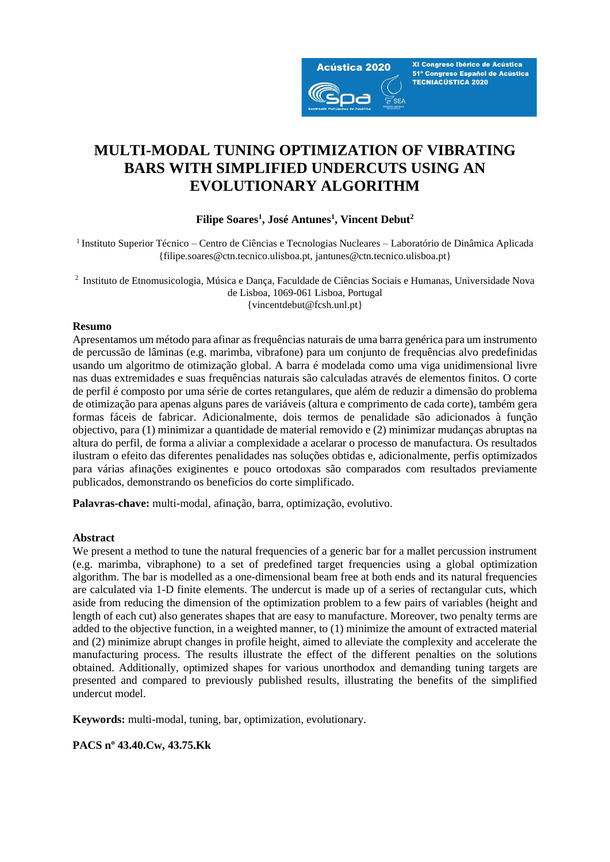

XI Congreso Ibérico de Acústica 51º Congreso Español de Acústica **TECNIACÚSTICA 2020** 

# **MULTI-MODAL TUNING OPTIMIZATION OF VIBRATING BARS WITH SIMPLIFIED UNDERCUTS USING AN EVOLUTIONARY ALGORITHM**

### **Filipe Soares<sup>1</sup> , José Antunes<sup>1</sup> , Vincent Debut<sup>2</sup>**

<sup>1</sup>Instituto Superior Técnico – Centro de Ciências e Tecnologias Nucleares – Laboratório de Dinâmica Aplicada {filipe.soares@ctn.tecnico.ulisboa.pt, [jantunes@ctn.tecnico.ulisboa.pt}](mailto:jantunes@ctn.tecnico.ulisboa.pt)

<sup>2</sup>Instituto de Etnomusicologia, Música e Dança, Faculdade de Ciências Sociais e Humanas, Universidade Nova de Lisboa, 1069-061 Lisboa, Portugal {vincentdebut@fcsh.unl.pt}

### **Resumo**

Apresentamos um método para afinar as frequências naturais de uma barra genérica para um instrumento de percussão de lâminas (e.g. marimba, vibrafone) para um conjunto de frequências alvo predefinidas usando um algoritmo de otimização global. A barra é modelada como uma viga unidimensional livre nas duas extremidades e suas frequências naturais são calculadas através de elementos finitos. O corte de perfil é composto por uma série de cortes retangulares, que além de reduzir a dimensão do problema de otimização para apenas alguns pares de variáveis (altura e comprimento de cada corte), também gera formas fáceis de fabricar. Adicionalmente, dois termos de penalidade são adicionados à função objectivo, para (1) minimizar a quantidade de material removido e (2) minimizar mudanças abruptas na altura do perfil, de forma a aliviar a complexidade a acelarar o processo de manufactura. Os resultados ilustram o efeito das diferentes penalidades nas soluções obtidas e, adicionalmente, perfis optimizados para várias afinações exiginentes e pouco ortodoxas são comparados com resultados previamente publicados, demonstrando os beneficios do corte simplificado.

**Palavras-chave:** multi-modal, afinação, barra, optimização, evolutivo.

### **Abstract**

We present a method to tune the natural frequencies of a generic bar for a mallet percussion instrument (e.g. marimba, vibraphone) to a set of predefined target frequencies using a global optimization algorithm. The bar is modelled as a one-dimensional beam free at both ends and its natural frequencies are calculated via 1-D finite elements. The undercut is made up of a series of rectangular cuts, which aside from reducing the dimension of the optimization problem to a few pairs of variables (height and length of each cut) also generates shapes that are easy to manufacture. Moreover, two penalty terms are added to the objective function, in a weighted manner, to (1) minimize the amount of extracted material and (2) minimize abrupt changes in profile height, aimed to alleviate the complexity and accelerate the manufacturing process. The results illustrate the effect of the different penalties on the solutions obtained. Additionally, optimized shapes for various unorthodox and demanding tuning targets are presented and compared to previously published results, illustrating the benefits of the simplified undercut model.

**Keywords:** multi-modal, tuning, bar, optimization, evolutionary.

**PACS nº 43.40.Cw, 43.75.Kk**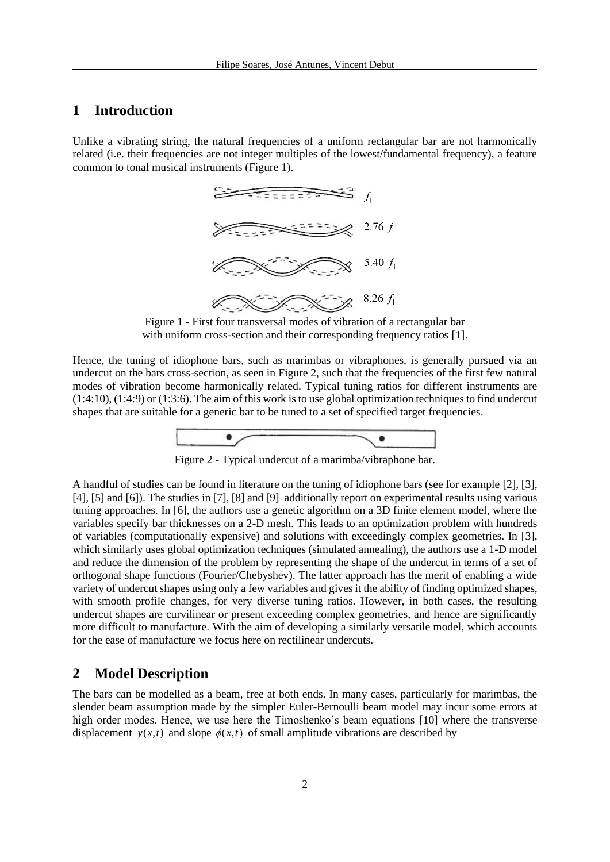# **1 Introduction**

Unlike a vibrating string, the natural frequencies of a uniform rectangular bar are not harmonically related (i.e. their frequencies are not integer multiples of the lowest/fundamental frequency), a feature common to tonal musical instruments [\(Figure 1\)](#page-1-0).



Figure 1 - First four transversal modes of vibration of a rectangular bar with uniform cross-section and their corresponding frequency ratios [1].

<span id="page-1-0"></span>Hence, the tuning of idiophone bars, such as marimbas or vibraphones, is generally pursued via an undercut on the bars cross-section, as seen i[n Figure 2,](#page-1-1) such that the frequencies of the first few natural modes of vibration become harmonically related. Typical tuning ratios for different instruments are (1:4:10), (1:4:9) or (1:3:6). The aim of this work is to use global optimization techniques to find undercut shapes that are suitable for a generic bar to be tuned to a set of specified target frequencies.



Figure 2 - Typical undercut of a marimba/vibraphone bar.

<span id="page-1-1"></span>A handful of studies can be found in literature on the tuning of idiophone bars (see for example [2], [3], [4], [5] and [6]). The studies in [7], [8] and [9] additionally report on experimental results using various tuning approaches. In [6], the authors use a genetic algorithm on a 3D finite element model, where the variables specify bar thicknesses on a 2-D mesh. This leads to an optimization problem with hundreds of variables (computationally expensive) and solutions with exceedingly complex geometries. In [3], which similarly uses global optimization techniques (simulated annealing), the authors use a 1-D model and reduce the dimension of the problem by representing the shape of the undercut in terms of a set of orthogonal shape functions (Fourier/Chebyshev). The latter approach has the merit of enabling a wide variety of undercut shapes using only a few variables and gives it the ability of finding optimized shapes, with smooth profile changes, for very diverse tuning ratios. However, in both cases, the resulting undercut shapes are curvilinear or present exceeding complex geometries, and hence are significantly more difficult to manufacture. With the aim of developing a similarly versatile model, which accounts for the ease of manufacture we focus here on rectilinear undercuts.

### **2 Model Description**

The bars can be modelled as a beam, free at both ends. In many cases, particularly for marimbas, the slender beam assumption made by the simpler Euler-Bernoulli beam model may incur some errors at high order modes. Hence, we use here the Timoshenko's beam equations [10] where the transverse displacement  $y(x,t)$  and slope  $\phi(x,t)$  of small amplitude vibrations are described by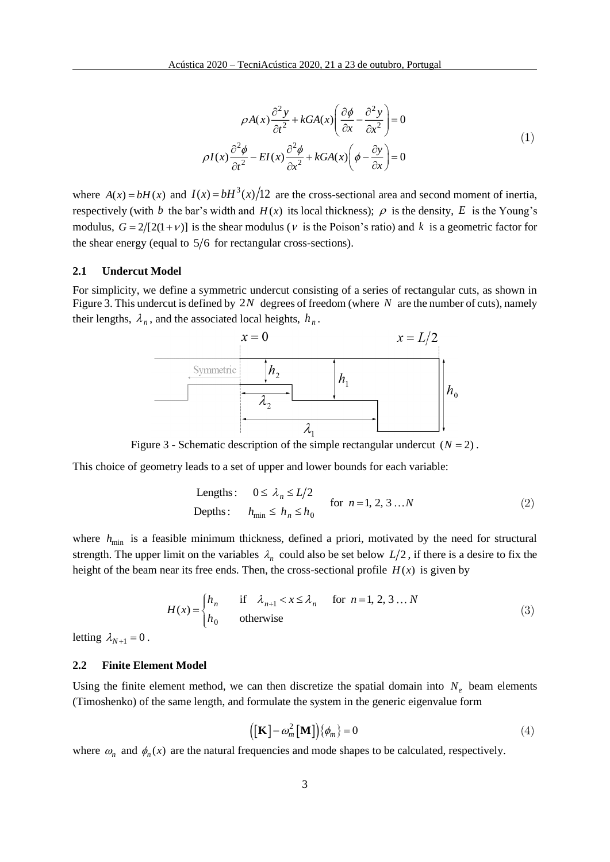$$
\rho A(x) \frac{\partial^2 y}{\partial t^2} + k G A(x) \left( \frac{\partial \phi}{\partial x} - \frac{\partial^2 y}{\partial x^2} \right) = 0
$$
  

$$
\rho I(x) \frac{\partial^2 \phi}{\partial t^2} - EI(x) \frac{\partial^2 \phi}{\partial x^2} + k G A(x) \left( \phi - \frac{\partial y}{\partial x} \right) = 0
$$
 (1)

where  $A(x) = bH(x)$  and  $I(x) = bH^3(x)/12$  are the cross-sectional area and second moment of inertia, respectively (with b the bar's width and  $H(x)$  its local thickness);  $\rho$  is the density, E is the Young's modulus,  $G = 2/[2(1 + v)]$  is the shear modulus (v is the Poison's ratio) and k is a geometric factor for the shear energy (equal to  $5/6$  for rectangular cross-sections).

### **2.1 Undercut Model**

For simplicity, we define a symmetric undercut consisting of a series of rectangular cuts, as shown in [Figure 3.](#page-2-0) This undercut is defined by 2*N* degrees of freedom (where *N* are the number of cuts), namely their lengths,  $\lambda_n$ , and the associated local heights,  $h_n$ .



Figure 3 - Schematic description of the simple rectangular undercut  $(N = 2)$ .

<span id="page-2-0"></span>This choice of geometry leads to a set of upper and lower bounds for each variable:

Lengths: 
$$
0 \le \lambda_n \le L/2
$$
  
Depths:  $h_{\min} \le h_n \le h_0$  for  $n = 1, 2, 3...N$  (2)

where  $h_{\text{min}}$  is a feasible minimum thickness, defined a priori, motivated by the need for structural strength. The upper limit on the variables  $\lambda_n$  could also be set below  $L/2$ , if there is a desire to fix the height of the beam near its free ends. Then, the cross-sectional profile  $H(x)$  is given by

$$
H(x) = \begin{cases} h_n & \text{if } \lambda_{n+1} < x \le \lambda_n \\ h_0 & \text{otherwise} \end{cases} \quad \text{for } n = 1, 2, 3 \dots N \tag{3}
$$

letting  $\lambda_{N+1} = 0$ .

#### **2.2 Finite Element Model**

Using the finite element method, we can then discretize the spatial domain into  $N_e$  beam elements (Timoshenko) of the same length, and formulate the system in the generic eigenvalue form

$$
\left(\left[\mathbf{K}\right]-\omega_m^2\left[\mathbf{M}\right]\right)\left\{\phi_m\right\}=0\tag{4}
$$

where  $\omega_n$  and  $\phi_n(x)$  are the natural frequencies and mode shapes to be calculated, respectively.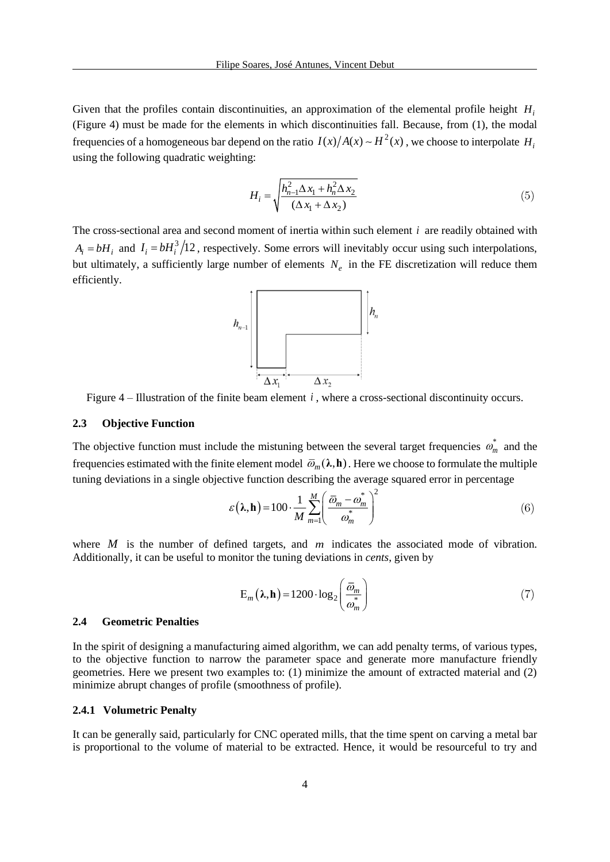Given that the profiles contain discontinuities, an approximation of the elemental profile height *H<sup>i</sup>* [\(Figure 4\)](#page-3-0) must be made for the elements in which discontinuities fall. Because, from (1), the modal frequencies of a homogeneous bar depend on the ratio  $I(x)/A(x) \sim H^2(x)$ , we choose to interpolate  $H_i$ using the following quadratic weighting:

$$
H_{i} = \sqrt{\frac{h_{n-1}^{2} \Delta x_{1} + h_{n}^{2} \Delta x_{2}}{(\Delta x_{1} + \Delta x_{2})}}
$$
(5)

The cross-sectional area and second moment of inertia within such element *i* are readily obtained with  $A_i = bH_i$  and  $I_i = bH_i^3/12$ , respectively. Some errors will inevitably occur using such interpolations, but ultimately, a sufficiently large number of elements  $N_e$  in the FE discretization will reduce them efficiently.



<span id="page-3-0"></span>Figure  $4$  – Illustration of the finite beam element  $i$ , where a cross-sectional discontinuity occurs.

### **2.3 Objective Function**

The objective function must include the mistuning between the several target frequencies  $\omega_m^*$  and the frequencies estimated with the finite element model  $\bar{\omega}_m(\lambda, \mathbf{h})$  . Here we choose to formulate the multiple tuning deviations in a single objective function describing the average squared error in percentage

$$
\varepsilon(\lambda, \mathbf{h}) = 100 \cdot \frac{1}{M} \sum_{m=1}^{M} \left( \frac{\overline{\omega}_m - \omega_m^*}{\omega_m^*} \right)^2 \tag{6}
$$

where  $M$  is the number of defined targets, and  $m$  indicates the associated mode of vibration. Additionally, it can be useful to monitor the tuning deviations in *cents*, given by

$$
E_m(\lambda, h) = 1200 \cdot \log_2\left(\frac{\overline{\omega}_m}{\omega_m^*}\right) \tag{7}
$$

### **2.4 Geometric Penalties**

In the spirit of designing a manufacturing aimed algorithm, we can add penalty terms, of various types, to the objective function to narrow the parameter space and generate more manufacture friendly geometries. Here we present two examples to: (1) minimize the amount of extracted material and (2) minimize abrupt changes of profile (smoothness of profile).

### **2.4.1 Volumetric Penalty**

It can be generally said, particularly for CNC operated mills, that the time spent on carving a metal bar is proportional to the volume of material to be extracted. Hence, it would be resourceful to try and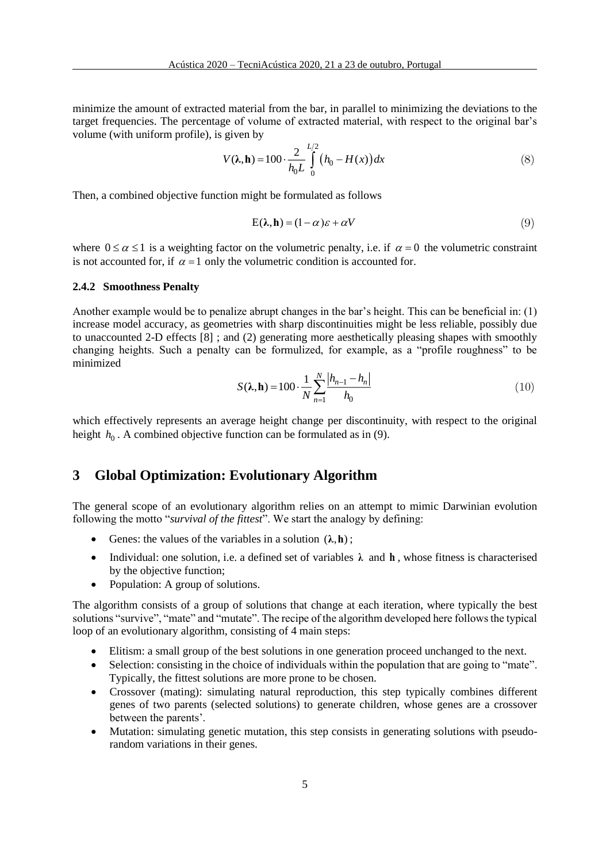minimize the amount of extracted material from the bar, in parallel to minimizing the deviations to the target frequencies. The percentage of volume of extracted material, with respect to the original bar's volume (with uniform profile), is given by

$$
V(\lambda, \mathbf{h}) = 100 \cdot \frac{2}{h_0 L} \int_{0}^{L/2} (h_0 - H(x)) dx
$$
 (8)

Then, a combined objective function might be formulated as follows

$$
E(\lambda, h) = (1 - \alpha)\varepsilon + \alpha V \tag{9}
$$

where  $0 \le \alpha \le 1$  is a weighting factor on the volumetric penalty, i.e. if  $\alpha = 0$  the volumetric constraint is not accounted for, if  $\alpha = 1$  only the volumetric condition is accounted for.

#### **2.4.2 Smoothness Penalty**

Another example would be to penalize abrupt changes in the bar's height. This can be beneficial in: (1) increase model accuracy, as geometries with sharp discontinuities might be less reliable, possibly due to unaccounted 2-D effects [8] ; and (2) generating more aesthetically pleasing shapes with smoothly changing heights. Such a penalty can be formulized, for example, as a "profile roughness" to be minimized

$$
S(\lambda, h) = 100 \cdot \frac{1}{N} \sum_{n=1}^{N} \frac{|h_{n-1} - h_n|}{h_0}
$$
 (10)

which effectively represents an average height change per discontinuity, with respect to the original height  $h_0$ . A combined objective function can be formulated as in (9).

### **3 Global Optimization: Evolutionary Algorithm**

The general scope of an evolutionary algorithm relies on an attempt to mimic Darwinian evolution following the motto "*survival of the fittest*". We start the analogy by defining:

- Genes: the values of the variables in a solution  $(\lambda, h)$ ;
- Individual: one solution, i.e. a defined set of variables  $\lambda$  and  $\bf{h}$ , whose fitness is characterised by the objective function;
- Population: A group of solutions.

The algorithm consists of a group of solutions that change at each iteration, where typically the best solutions "survive", "mate" and "mutate". The recipe of the algorithm developed here follows the typical loop of an evolutionary algorithm, consisting of 4 main steps:

- Elitism: a small group of the best solutions in one generation proceed unchanged to the next.
- Selection: consisting in the choice of individuals within the population that are going to "mate". Typically, the fittest solutions are more prone to be chosen.
- Crossover (mating): simulating natural reproduction, this step typically combines different genes of two parents (selected solutions) to generate children, whose genes are a crossover between the parents'.
- Mutation: simulating genetic mutation, this step consists in generating solutions with pseudorandom variations in their genes.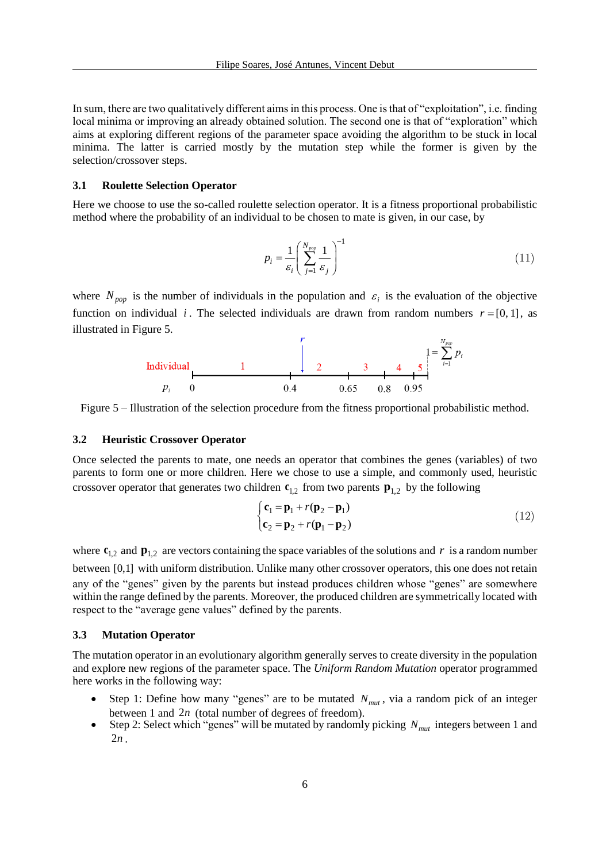In sum, there are two qualitatively different aims in this process. One is that of "exploitation", i.e. finding local minima or improving an already obtained solution. The second one is that of "exploration" which aims at exploring different regions of the parameter space avoiding the algorithm to be stuck in local minima. The latter is carried mostly by the mutation step while the former is given by the selection/crossover steps.

#### **3.1 Roulette Selection Operator**

Here we choose to use the so-called roulette selection operator. It is a fitness proportional probabilistic method where the probability of an individual to be chosen to mate is given, in our case, by

$$
p_i = \frac{1}{\varepsilon_i} \left( \sum_{j=1}^{N_{pop}} \frac{1}{\varepsilon_j} \right)^{-1} \tag{11}
$$

where  $N_{pop}$  is the number of individuals in the population and  $\varepsilon_i$  is the evaluation of the objective function on individual *i*. The selected individuals are drawn from random numbers  $r = [0, 1]$ , as



<span id="page-5-0"></span>Figure 5 – Illustration of the selection procedure from the fitness proportional probabilistic method.

#### **3.2 Heuristic Crossover Operator**

Once selected the parents to mate, one needs an operator that combines the genes (variables) of two parents to form one or more children. Here we chose to use a simple, and commonly used, heuristic crossover operator that generates two children  $\mathbf{c}_{1,2}$  from two parents  $\mathbf{p}_{1,2}$  by the following

$$
\begin{cases} \mathbf{c}_1 = \mathbf{p}_1 + r(\mathbf{p}_2 - \mathbf{p}_1) \\ \mathbf{c}_2 = \mathbf{p}_2 + r(\mathbf{p}_1 - \mathbf{p}_2) \end{cases}
$$
(12)

where  $\mathbf{c}_{1,2}$  and  $\mathbf{p}_{1,2}$  are vectors containing the space variables of the solutions and r is a random number between [0,1] with uniform distribution. Unlike many other crossover operators, this one does not retain any of the "genes" given by the parents but instead produces children whose "genes" are somewhere within the range defined by the parents. Moreover, the produced children are symmetrically located with respect to the "average gene values" defined by the parents.

### **3.3 Mutation Operator**

The mutation operator in an evolutionary algorithm generally serves to create diversity in the population and explore new regions of the parameter space. The *Uniform Random Mutation* operator programmed here works in the following way:

- Step 1: Define how many "genes" are to be mutated  $N_{mut}$ , via a random pick of an integer between 1 and 2*<sup>n</sup>* (total number of degrees of freedom).
- Step 2: Select which "genes" will be mutated by randomly picking  $N_{mut}$  integers between 1 and  $2n$ .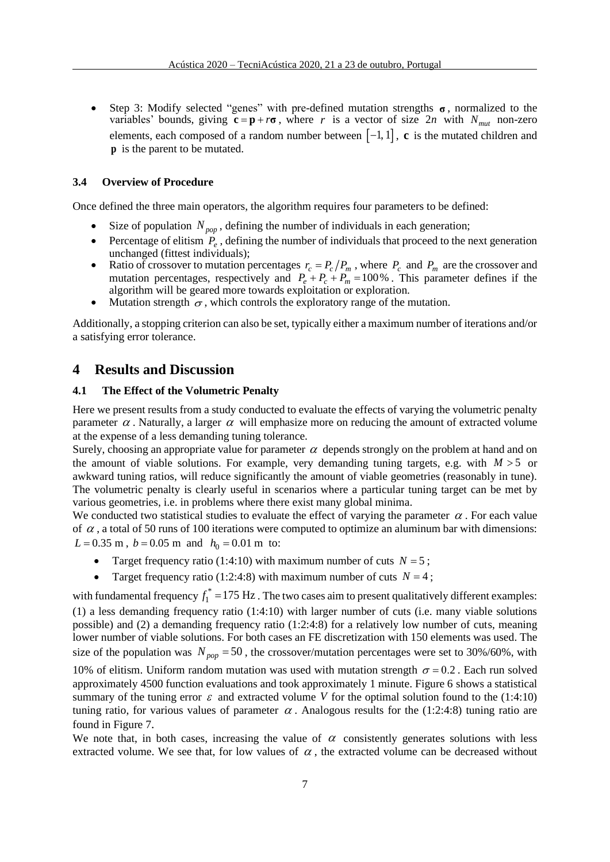• Step 3: Modify selected "genes" with pre-defined mutation strengths **σ**, normalized to the variables' bounds, giving  $\mathbf{c} = \mathbf{p} + r\mathbf{\sigma}$ , where r is a vector of size  $2n$  with  $N_{mut}$  non-zero elements, each composed of a random number between  $[-1, 1]$ , **c** is the mutated children and **p** is the parent to be mutated.

### **3.4 Overview of Procedure**

Once defined the three main operators, the algorithm requires four parameters to be defined:

- Size of population  $N_{pop}$ , defining the number of individuals in each generation;
- Percentage of elitism  $P_e$ , defining the number of individuals that proceed to the next generation unchanged (fittest individuals);
- Ratio of crossover to mutation percentages  $r_c = P_c/P_m$ , where  $P_c$  and  $P_m$  are the crossover and mutation percentages, respectively and  $P_e + P_c + P_m = 100\%$ . This parameter defines if the algorithm will be geared more towards exploitation or exploration.
- Mutation strength  $\sigma$ , which controls the exploratory range of the mutation.

Additionally, a stopping criterion can also be set, typically either a maximum number of iterations and/or a satisfying error tolerance.

### **4 Results and Discussion**

#### **4.1 The Effect of the Volumetric Penalty**

Here we present results from a study conducted to evaluate the effects of varying the volumetric penalty parameter  $\alpha$ . Naturally, a larger  $\alpha$  will emphasize more on reducing the amount of extracted volume at the expense of a less demanding tuning tolerance.

Surely, choosing an appropriate value for parameter  $\alpha$  depends strongly on the problem at hand and on the amount of viable solutions. For example, very demanding tuning targets, e.g. with  $M > 5$  or awkward tuning ratios, will reduce significantly the amount of viable geometries (reasonably in tune). The volumetric penalty is clearly useful in scenarios where a particular tuning target can be met by various geometries, i.e. in problems where there exist many global minima.

We conducted two statistical studies to evaluate the effect of varying the parameter  $\alpha$ . For each value of  $\alpha$ , a total of 50 runs of 100 iterations were computed to optimize an aluminum bar with dimensions:  $L = 0.35$  m,  $b = 0.05$  m and  $h_0 = 0.01$  m to:

- Target frequency ratio (1:4:10) with maximum number of cuts  $N = 5$ ;
- Target frequency ratio (1:2:4:8) with maximum number of cuts  $N = 4$ ;

with fundamental frequency  $f_1^*$  = 175 Hz. The two cases aim to present qualitatively different examples: (1) a less demanding frequency ratio (1:4:10) with larger number of cuts (i.e. many viable solutions possible) and (2) a demanding frequency ratio (1:2:4:8) for a relatively low number of cuts, meaning lower number of viable solutions. For both cases an FE discretization with 150 elements was used. The size of the population was  $N_{pop} = 50$ , the crossover/mutation percentages were set to 30%/60%, with 10% of elitism. Uniform random mutation was used with mutation strength  $\sigma = 0.2$ . Each run solved approximately 4500 function evaluations and took approximately 1 minute. [Figure 6](#page-7-0) shows a statistical summary of the tuning error  $\varepsilon$  and extracted volume V for the optimal solution found to the (1:4:10) tuning ratio, for various values of parameter  $\alpha$ . Analogous results for the (1:2:4:8) tuning ratio are found in [Figure 7](#page-7-1).

We note that, in both cases, increasing the value of  $\alpha$  consistently generates solutions with less extracted volume. We see that, for low values of  $\alpha$ , the extracted volume can be decreased without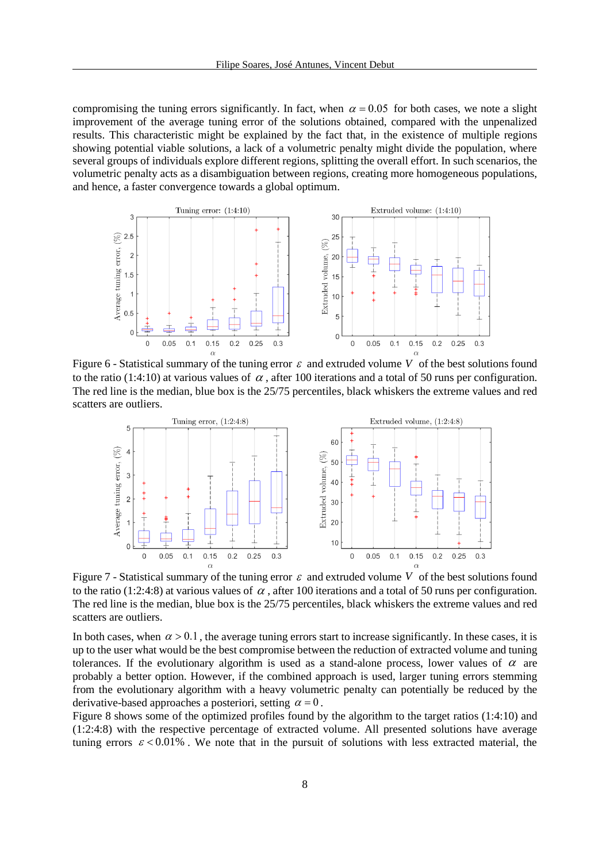compromising the tuning errors significantly. In fact, when  $\alpha = 0.05$  for both cases, we note a slight improvement of the average tuning error of the solutions obtained, compared with the unpenalized results. This characteristic might be explained by the fact that, in the existence of multiple regions showing potential viable solutions, a lack of a volumetric penalty might divide the population, where several groups of individuals explore different regions, splitting the overall effort. In such scenarios, the volumetric penalty acts as a disambiguation between regions, creating more homogeneous populations, and hence, a faster convergence towards a global optimum.



<span id="page-7-0"></span>Figure 6 - Statistical summary of the tuning error  $\varepsilon$  and extruded volume V of the best solutions found to the ratio (1:4:10) at various values of  $\alpha$ , after 100 iterations and a total of 50 runs per configuration. The red line is the median, blue box is the 25/75 percentiles, black whiskers the extreme values and red scatters are outliers.



<span id="page-7-1"></span>Figure 7 - Statistical summary of the tuning error  $\varepsilon$  and extruded volume V of the best solutions found to the ratio (1:2:4:8) at various values of  $\alpha$ , after 100 iterations and a total of 50 runs per configuration. The red line is the median, blue box is the 25/75 percentiles, black whiskers the extreme values and red scatters are outliers.

In both cases, when  $\alpha > 0.1$ , the average tuning errors start to increase significantly. In these cases, it is up to the user what would be the best compromise between the reduction of extracted volume and tuning tolerances. If the evolutionary algorithm is used as a stand-alone process, lower values of  $\alpha$  are probably a better option. However, if the combined approach is used, larger tuning errors stemming from the evolutionary algorithm with a heavy volumetric penalty can potentially be reduced by the derivative-based approaches a posteriori, setting  $\alpha = 0$ .

[Figure 8](#page-8-0) shows some of the optimized profiles found by the algorithm to the target ratios (1:4:10) and (1:2:4:8) with the respective percentage of extracted volume. All presented solutions have average tuning errors  $\epsilon$  < 0.01%. We note that in the pursuit of solutions with less extracted material, the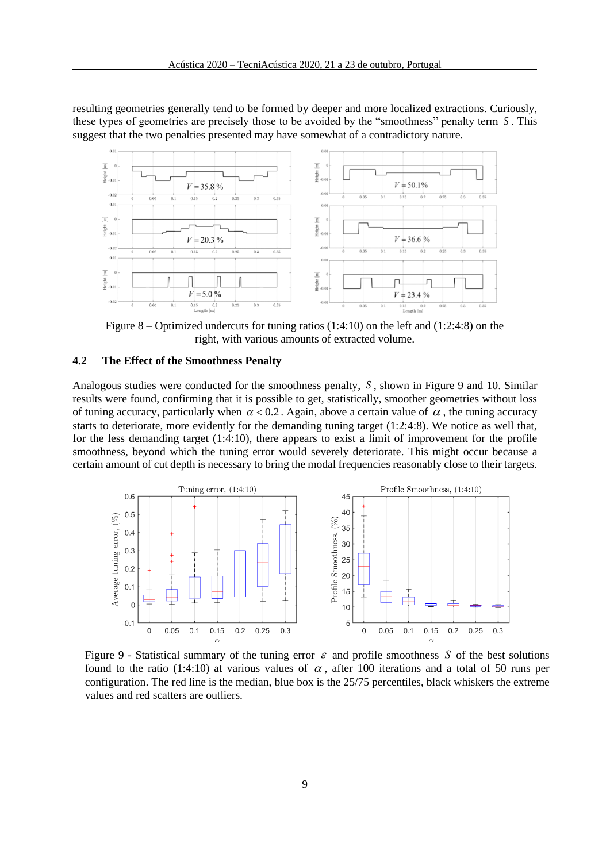resulting geometries generally tend to be formed by deeper and more localized extractions. Curiously, these types of geometries are precisely those to be avoided by the "smoothness" penalty term *S* . This suggest that the two penalties presented may have somewhat of a contradictory nature.



<span id="page-8-0"></span>Figure 8 – Optimized undercuts for tuning ratios  $(1:4:10)$  on the left and  $(1:2:4:8)$  on the right, with various amounts of extracted volume.

### **4.2 The Effect of the Smoothness Penalty**

Analogous studies were conducted for the smoothness penalty, *S* , shown in Figure 9 and 10. Similar results were found, confirming that it is possible to get, statistically, smoother geometries without loss of tuning accuracy, particularly when  $\alpha < 0.2$ . Again, above a certain value of  $\alpha$ , the tuning accuracy starts to deteriorate, more evidently for the demanding tuning target (1:2:4:8). We notice as well that, for the less demanding target (1:4:10), there appears to exist a limit of improvement for the profile smoothness, beyond which the tuning error would severely deteriorate. This might occur because a certain amount of cut depth is necessary to bring the modal frequencies reasonably close to their targets.



Figure 9 - Statistical summary of the tuning error  $\varepsilon$  and profile smoothness S of the best solutions found to the ratio (1:4:10) at various values of  $\alpha$ , after 100 iterations and a total of 50 runs per configuration. The red line is the median, blue box is the 25/75 percentiles, black whiskers the extreme values and red scatters are outliers.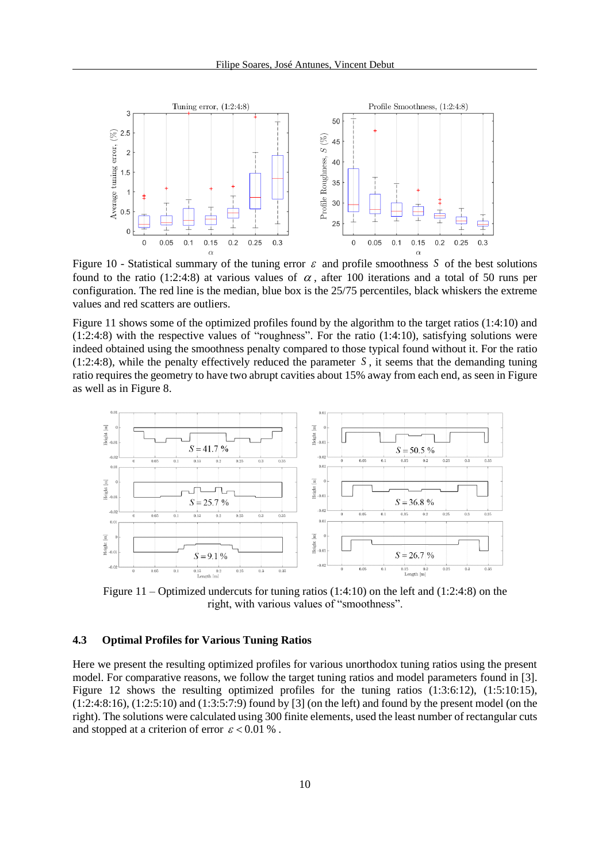

Figure 10 - Statistical summary of the tuning error  $\varepsilon$  and profile smoothness S of the best solutions found to the ratio (1:2:4:8) at various values of  $\alpha$ , after 100 iterations and a total of 50 runs per configuration. The red line is the median, blue box is the 25/75 percentiles, black whiskers the extreme values and red scatters are outliers.

Figure 11 shows some of the optimized profiles found by the algorithm to the target ratios (1:4:10) and (1:2:4:8) with the respective values of "roughness". For the ratio (1:4:10), satisfying solutions were indeed obtained using the smoothness penalty compared to those typical found without it. For the ratio  $(1:2:4:8)$ , while the penalty effectively reduced the parameter S, it seems that the demanding tuning ratio requires the geometry to have two abrupt cavities about 15% away from each end, as seen i[n Figure](#page-9-0)  as well as i[n Figure 8.](#page-8-0)



<span id="page-9-0"></span>Figure 11 – Optimized undercuts for tuning ratios  $(1:4:10)$  on the left and  $(1:2:4:8)$  on the right, with various values of "smoothness".

### **4.3 Optimal Profiles for Various Tuning Ratios**

Here we present the resulting optimized profiles for various unorthodox tuning ratios using the present model. For comparative reasons, we follow the target tuning ratios and model parameters found in [3]. Figure 12 shows the resulting optimized profiles for the tuning ratios  $(1:3:6:12)$ ,  $(1:5:10:15)$ , (1:2:4:8:16), (1:2:5:10) and (1:3:5:7:9) found by [3] (on the left) and found by the present model (on the right). The solutions were calculated using 300 finite elements, used the least number of rectangular cuts and stopped at a criterion of error  $\varepsilon < 0.01$  %.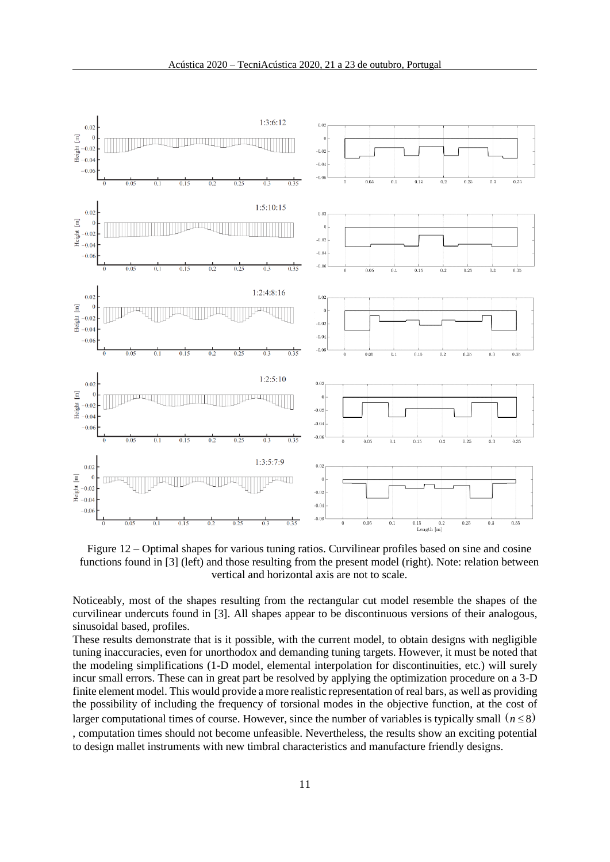

Figure 12 – Optimal shapes for various tuning ratios. Curvilinear profiles based on sine and cosine functions found in [3] (left) and those resulting from the present model (right). Note: relation between vertical and horizontal axis are not to scale.

Noticeably, most of the shapes resulting from the rectangular cut model resemble the shapes of the curvilinear undercuts found in [3]. All shapes appear to be discontinuous versions of their analogous, sinusoidal based, profiles.

These results demonstrate that is it possible, with the current model, to obtain designs with negligible tuning inaccuracies, even for unorthodox and demanding tuning targets. However, it must be noted that the modeling simplifications (1-D model, elemental interpolation for discontinuities, etc.) will surely incur small errors. These can in great part be resolved by applying the optimization procedure on a 3-D finite element model. This would provide a more realistic representation of real bars, as well as providing the possibility of including the frequency of torsional modes in the objective function, at the cost of larger computational times of course. However, since the number of variables is typically small  $(n \leq 8)$ , computation times should not become unfeasible. Nevertheless, the results show an exciting potential to design mallet instruments with new timbral characteristics and manufacture friendly designs.